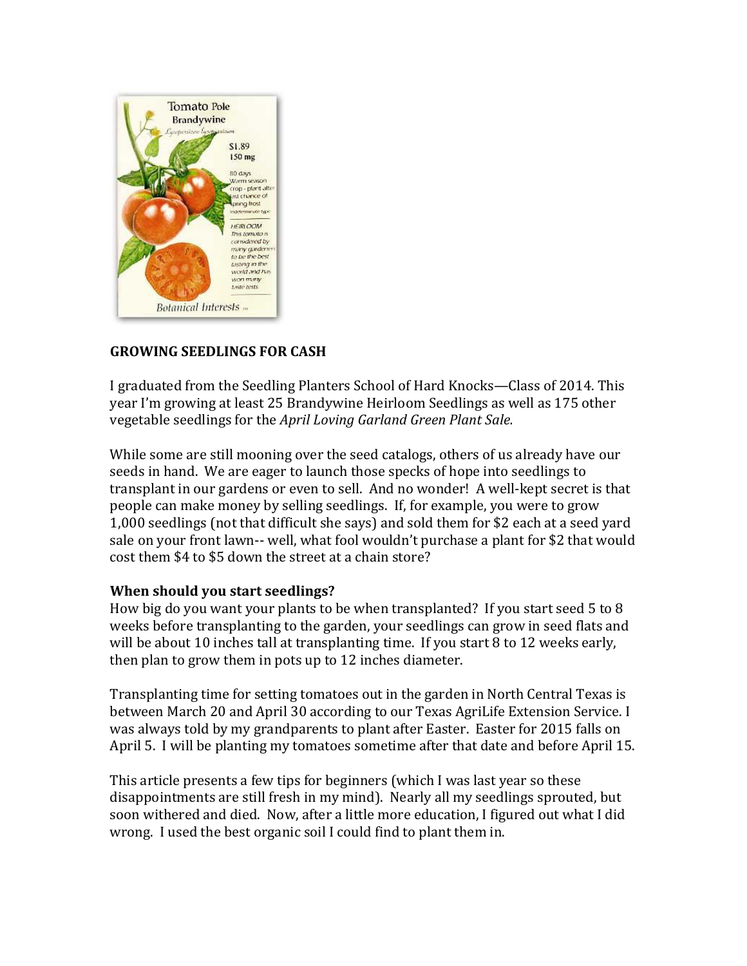

## **GROWING!SEEDLINGS FOR!CASH**

I graduated from the Seedling Planters School of Hard Knocks—Class of 2014. This year I'm growing at least 25 Brandywine Heirloom Seedlings as well as 175 other vegetable seedlings for the *April Loving Garland Green Plant Sale.* 

While some are still mooning over the seed catalogs, others of us already have our seeds in hand. We are eager to launch those specks of hope into seedlings to transplant in our gardens or even to sell. And no wonder! A well-kept secret is that people can make money by selling seedlings. If, for example, you were to grow 1,000 seedlings (not that difficult she says) and sold them for \$2 each at a seed yard sale on your front lawn-- well, what fool wouldn't purchase a plant for \$2 that would cost them \$4 to \$5 down the street at a chain store?

#### **When should you start seedlings?**

How big do you want your plants to be when transplanted? If you start seed 5 to 8 weeks before transplanting to the garden, your seedlings can grow in seed flats and will be about 10 inches tall at transplanting time. If you start 8 to 12 weeks early, then plan to grow them in pots up to 12 inches diameter.

Transplanting time for setting tomatoes out in the garden in North Central Texas is between March 20 and April 30 according to our Texas AgriLife Extension Service. I was always told by my grandparents to plant after Easter. Easter for 2015 falls on April 5. I will be planting my tomatoes sometime after that date and before April 15.

This article presents a few tips for beginners (which I was last year so these disappointments are still fresh in my mind). Nearly all my seedlings sprouted, but soon withered and died. Now, after a little more education, I figured out what I did wrong. I used the best organic soil I could find to plant them in.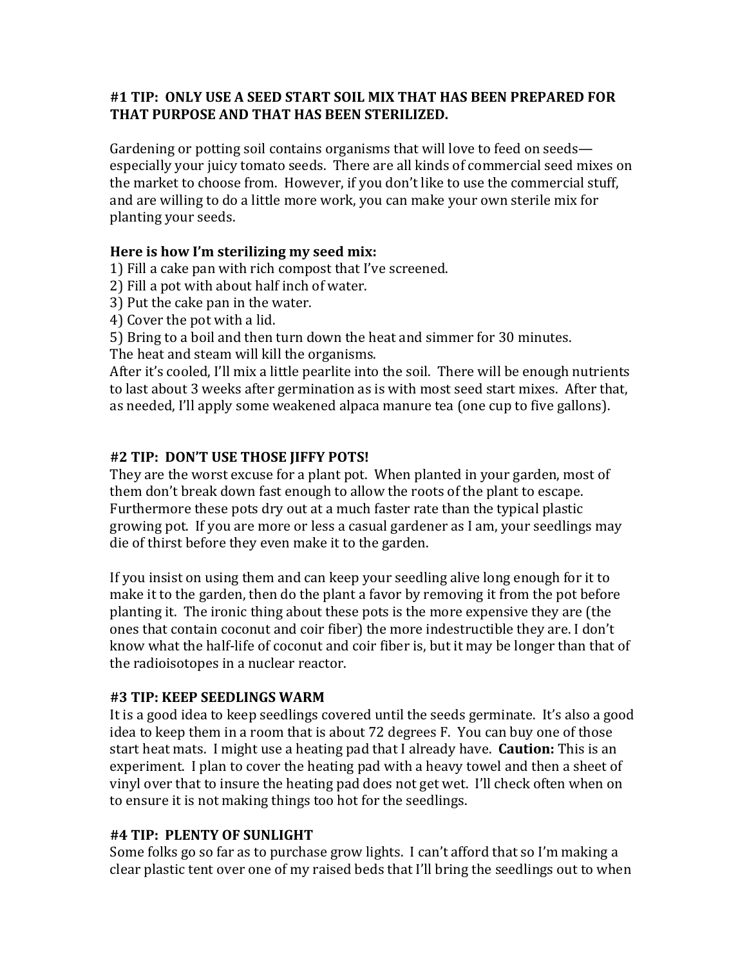#### #1 TIP: ONLY USE A SEED START SOIL MIX THAT HAS BEEN PREPARED FOR THAT PURPOSE AND THAT HAS BEEN STERILIZED.

Gardening or potting soil contains organisms that will love to feed on seeds especially your juicy tomato seeds. There are all kinds of commercial seed mixes on the market to choose from. However, if you don't like to use the commercial stuff, and are willing to do a little more work, you can make your own sterile mix for planting your seeds.

## Here is how I'm sterilizing my seed mix:

1) Fill a cake pan with rich compost that I've screened.

2) Fill a pot with about half inch of water.

- 3) Put the cake pan in the water.
- 4) Cover the pot with a lid.

5) Bring to a boil and then turn down the heat and simmer for 30 minutes.

The heat and steam will kill the organisms.

After it's cooled, I'll mix a little pearlite into the soil. There will be enough nutrients to last about 3 weeks after germination as is with most seed start mixes. After that, as needed, I'll apply some weakened alpaca manure tea (one cup to five gallons).

### #2 TIP: DON'T USE THOSE JIFFY POTS!

They are the worst excuse for a plant pot. When planted in your garden, most of them don't break down fast enough to allow the roots of the plant to escape. Furthermore these pots dry out at a much faster rate than the typical plastic growing pot. If you are more or less a casual gardener as I am, your seedlings may die of thirst before they even make it to the garden.

If you insist on using them and can keep your seedling alive long enough for it to make it to the garden, then do the plant a favor by removing it from the pot before planting it. The ironic thing about these pots is the more expensive they are (the ones that contain coconut and coir fiber) the more indestructible they are. I don't know what the half-life of coconut and coir fiber is, but it may be longer than that of the radioisotopes in a nuclear reactor.

#### #3 TIP: KEEP SEEDLINGS WARM

It is a good idea to keep seedlings covered until the seeds germinate. It's also a good idea to keep them in a room that is about 72 degrees F. You can buy one of those start heat mats. I might use a heating pad that I already have. **Caution:** This is an experiment. I plan to cover the heating pad with a heavy towel and then a sheet of vinyl over that to insure the heating pad does not get wet. I'll check often when on to ensure it is not making things too hot for the seedlings.

#### #4 TIP: PLENTY OF SUNLIGHT

Some folks go so far as to purchase grow lights. I can't afford that so I'm making a clear plastic tent over one of my raised beds that I'll bring the seedlings out to when